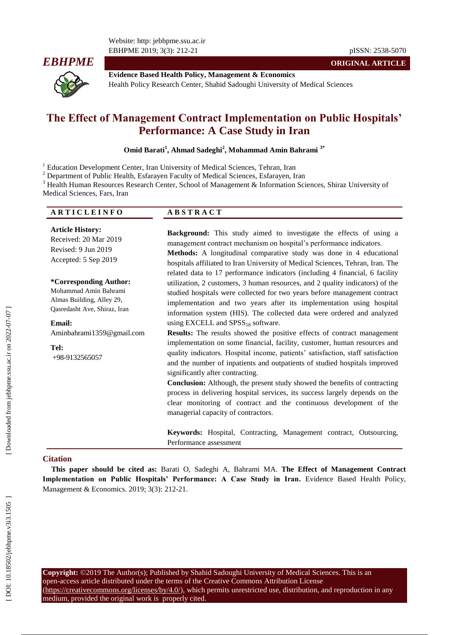Website: http: jebhpme.ssu.ac.ir EBHPME 2019; 3(3): 212



**Evidence Based Health Policy, Management & Economics** Health Policy Research Center, Shahid Sadoughi University of Medical Sciences

# **The Effect of Management Contract Implementation on Public Hospitals' Performance: A Case Study in Iran**

Omid Barati<sup>1</sup>, Ahmad Sadeghi<sup>2</sup>, Mohammad Amin Bahrami<sup>3\*</sup>

<sup>1</sup> Education Development Center, Iran University of Medical Sciences, Tehran, Iran<br><sup>2</sup> Department of Public Health, Esfarayen Faculty of Medical Sciences, Esfarayen, Iran<br><sup>3</sup> Health Human Resources Research Center, Schoo Medical Sciences, Fars, Iran

| <b>ARTICLEINFO</b> | <b>ABSTRACT</b> |
|--------------------|-----------------|
|                    |                 |

**Article History:** Received: 20 Mar 201 9 Revised: 9 Jun 201 9 Accepted: 5 Sep 201 9

**\*Corresponding Author:** Mohammad Amin Bahrami Almas Building, Alley 29, Qasredasht Ave, Shiraz, Iran

## **Email:**

[Aminbahrami1359@gmail.com](mailto:Aminbahrami1359@gmail.com)

**Tel:** +98 -9132565057 **Background:** This study aimed to investigate the effects of using a management contract mechanism on hospital's performance indicators.

**Methods:** A longitudinal comparative study was done in 4 educational hospitals affiliated to Iran University of Medical Sciences, Tehran, Iran. The related data to 17 performance indicators (including 4 financial, 6 facility utilization, 2 customers, 3 human resources, and 2 quality indicators) of the studied hospitals were collected for two years before management contract implementation and two years after its implementation using hospital information system (HIS). The collected data were ordered and analyzed using EXCELL and  $SPSS_{18}$  software.

**Results:** The results showed the positive effects of contract management implementation on some financial, facility, customer, human resources and quality indicators. Hospital income, patients' satisfaction, staff satisfaction and the number of inpatients and outpatients of studied hospitals improved significantly after contracting.

**Conclusion:** Although, the present study showed the benefits of contracting process in delivering hospital services, its success largely depends on the clear monitoring of contract and the continuous development of the managerial capacity of contractors.

**Keywords:** Hospital, Contracting, Management contract, Outsourcing, Performance assessment

#### **Citation**

**This paper should be cited as:** Barati O, Sadeghi A, Bahrami MA. **The Effect of Management Contract Implementation on Public Hospitals' Performance: A Case Study in Iran .** Evidence Based Health Policy, Management & Economics. 2019; 3(3): 212 -21.

**Copyright:** ©2019 The Author(s); Published by Shahid Sadoughi University of Medical Sciences. This is an open -access article distributed under the terms of the Creative Commons Attribution License (https://creativecommons.org/licenses/by/4.0/), which permits unrestricted use, distribution, and reproduction in any medium, provided the original work is properly cited.

-21 pISSN: 2538 -5070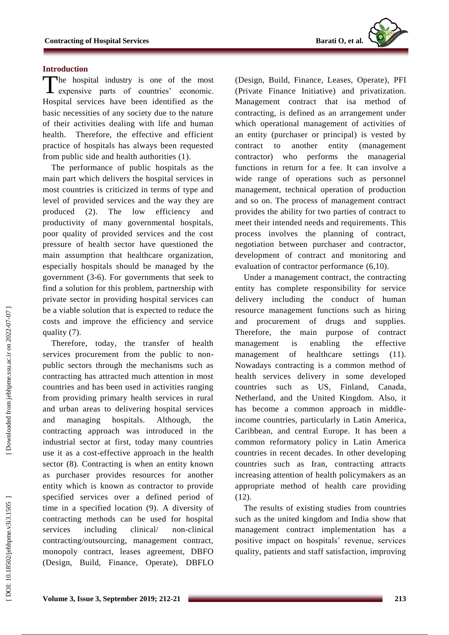

#### **Introduction**

The hospital industry is one of the most expensive parts of countries' economic. expensive parts of countries' economic. Hospital services have been identified as the basic necessities of any society due to the nature of their activities dealing with life and human health. Therefore, the effective and efficient practice of hospitals has always been requested from public side and health authorities (1).

The performance of public hospitals as the main part which delivers the hospital services in most countries is criticized in terms of type and level of provided services and the way they are produced (2). The low efficiency and productivity of many governmental hospitals, poor quality of provided services and the cost pressure of health sector have questioned the main assumption that healthcare organization, especially hospitals should be managed by the government (3 - 6). For governments that seek to find a solution for this problem, partnership with private sector in providing hospital services can be a viable solution that is expected to reduce the costs and improve the efficiency and service quality (7).

Therefore, today, the transfer of health services procurement from the public to nonpublic sectors through the mechanisms such as contracting has attracted much attention in most countries and has been used in activities ranging from providing primary health services in rural and urban areas to delivering hospital services and managing hospitals. Although, the contracting approach was introduced in the industrial sector at first, today many countries use it as a cost -effective approach in the health sector (8). Contracting is when an entity known as purchaser provides resources for another entity which is known as contractor to provide specified services over a defined period of time in a specified location (9). A diversity of contracting methods can be used for hospital services including clinical/ -clinical contracting/outsourcing, management contract, monopoly contract, leases agreement, DBFO (Design, Build, Finance, Operate), DBFLO

(Design, Build, Finance, Leases, Operate), PFI (Private Finance Initiative) and privatization. Management contract that isa method of contracting, is defined as an arrangement under which operational management of activities of an entity (purchaser or principal) is vested by contract to another entity (management contractor) who performs the managerial functions in return for a fee. It can involve a wide range of operations such as personnel management, technical operation of production and so on. The process of management contract provides the ability for two parties of contract to meet their intended needs and requirements. This process involves the planning of contract, negotiation between purchaser and contractor, development of contract and monitoring and evaluation of contractor performance (6,10).

Under a management contract , the contracting entity has complete responsibility for service delivery including the conduct of human resource management functions such as hiring and procurement of drugs and supplies. Therefore , the main purpose of contract management is enabling the effective management of healthcare settings (11). Nowadays contracting is a common method of health services delivery in some developed countries such as US, Finland, Canada, Netherland , and the United Kingdom. Also, it has become a common approach in middle income countries, particularly in Latin America, Caribbean , and central Europe. It has been a common reformatory policy in Latin America countries in recent decades. In other developing countries such as Iran, contracting attracts increasing attention of health policymakers as an appropriate method of health care providing (12).

The results of existing studies from countries such as the united kingdom and India show that management contract implementation has a positive impact on hospitals' revenue, services quality, patients and staff satisfaction, improving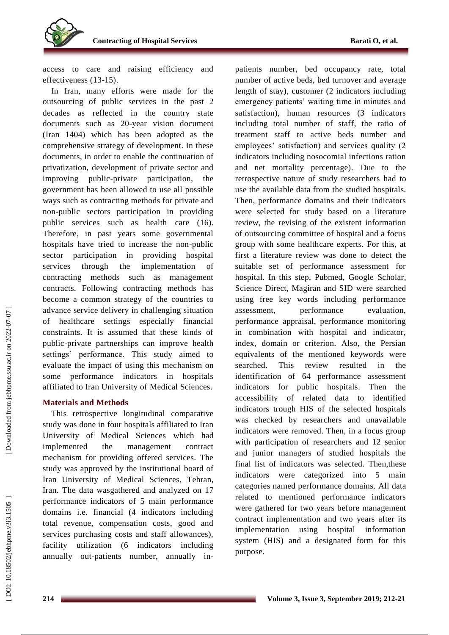

access to care and raising efficiency and effectiveness (13 -15).

In Iran, many efforts were made for the outsourcing of public services in the past 2 decades as reflected in the country state documents such as 20-year vision document (Iran 1404) which has been adopted as the comprehensive strategy of development. In these documents, in order to enable the continuation of privatization, development of private sector and improving public -private participation, the government has been allowed to use all possible ways such as contracting methods for private and non -public sectors participation in providing public services such as health care (16). Therefore, in past years some governmental hospitals have tried to increase the non -public sector participation in providing hospital services through the implementation of contracting methods such as management contract s . Following contracting methods has become a common strategy of the countries to advance service delivery in challenging situation of healthcare settings especially financial constraints. It is assumed that these kinds of public -private partnerships can improve health settings' performance. This study aimed to evaluate the impact of using this mechanism on some performance indicators in hospitals affiliated to Iran University of Medical Sciences.

### **Materials and Methods**

This retrospective longitudinal comparative study was done in four hospitals affiliated to Iran University of Medical Sciences which had implemented the management contract mechanism for providing offered services. The study was approved by the institutional board of Iran University of Medical Sciences, Tehran, Iran. The data wasgathered and analyzed on 17 performance indicators of 5 main performance domains i.e. financial (4 indicators including total revenue, compensation costs, good and services purchasing costs and staff allowances), facility utilization (6 indicators including annually out -patients number, annually in -

patients number, bed occupancy rate, total number of active beds, bed turnover and average length of stay), customer (2 indicators including emergency patients' waiting time in minutes and satisfaction), human resources (3 indicators including total number of staff, the ratio of treatment staff to active beds number and employees' satisfaction) and services quality (2 indicators including nosocomial infections ration and net mortality percentage). Due to the retrospective nature of study researchers had to use the available data from the studied hospitals. Then, performance domains and their indicators were selected for study based on a literature review, the revising of the existent information of outsourcing committee of hospital and a focus group with some healthcare experts. For this, at first a literature review was done to detect the suitable set of performance assessment for hospital. In this step, Pubmed, Google Scholar, Science Direct, Magiran and SID were searched using free key words including performance assessment, performance evaluation, performance appraisal, performance monitoring in combination with hospital and indicator, index, domain or criterion. Also, the Persian equivalents of the mentioned keywords were searched. This review resulted in the identification of 64 performance assessment indicators for public hospitals. Then the accessibility of related data to identified indicators trough HIS of the selected hospitals was checked by researchers and unavailable indicators were removed. Then, in a focus group with participation of researchers and 12 senior and junior managers of studied hospitals the final list of indicators was selected. Then,these indicators were categorized into 5 main categories named performance domains. All data related to mentioned performance indicators were gathered for two years before management contract implementation and two years after its implementation using hospital information system (HIS) and a designated form for this purpose.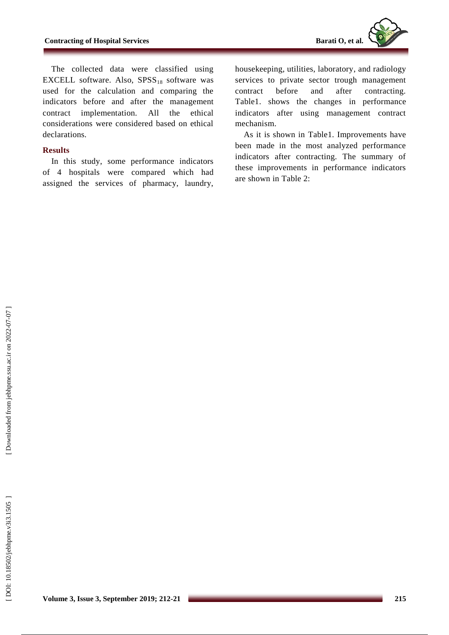The collected data were classified using EXCELL software. Also,  $SPSS_{18}$  software was used for the calculation and comparing the indicators before and after the management contract implementation. All the ethical considerations were considered based on ethical declarations.

## **Results**

In this study , some performance indicators of 4 hospitals were compared which had assigned the services of pharmacy, laundry,

housekeeping, utilities, laboratory , and radiology services to private sector trough management contract before and after contracting. Table1. shows the changes in performance indicators after using management contract mechanism .

As it is shown in Table1. Improvements have been made in the most analyzed performance indicators after contracting. The summary of these improvements in performance indicators are shown in Table 2: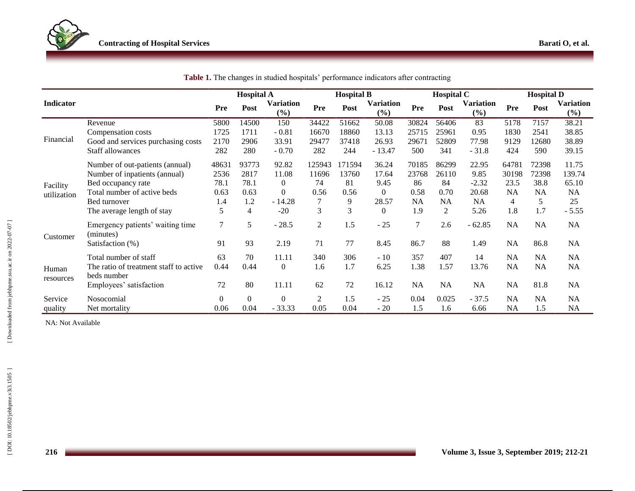|                    |                                                       | <b>Hospital A</b> |                |                         | <b>Hospital B</b> |        |                  | <b>Hospital C</b> |           |                         | <b>Hospital D</b> |           |                         |
|--------------------|-------------------------------------------------------|-------------------|----------------|-------------------------|-------------------|--------|------------------|-------------------|-----------|-------------------------|-------------------|-----------|-------------------------|
| Indicator          |                                                       | Pre               | Post           | <b>Variation</b><br>(%) | Pre               | Post   | Variation<br>(%) | Pre               | Post      | <b>Variation</b><br>(%) | Pre               | Post      | <b>Variation</b><br>(%) |
| Financial          | Revenue                                               | 5800              | 14500          | 150                     | 34422             | 51662  | 50.08            | 30824             | 56406     | 83                      | 5178              | 7157      | 38.21                   |
|                    | Compensation costs                                    | 1725              | 1711           | $-0.81$                 | 16670             | 18860  | 13.13            | 25715             | 25961     | 0.95                    | 1830              | 2541      | 38.85                   |
|                    | Good and services purchasing costs                    | 2170              | 2906           | 33.91                   | 29477             | 37418  | 26.93            | 29671             | 52809     | 77.98                   | 9129              | 12680     | 38.89                   |
|                    | Staff allowances                                      | 282               | 280            | $-0.70$                 | 282               | 244    | $-13.47$         | 500               | 341       | $-31.8$                 | 424               | 590       | 39.15                   |
|                    | Number of out-patients (annual)                       | 48631             | 93773          | 92.82                   | 125943            | 171594 | 36.24            | 70185             | 86299     | 22.95                   | 64781             | 72398     | 11.75                   |
|                    | Number of inpatients (annual)                         | 2536              | 2817           | 11.08                   | 11696             | 13760  | 17.64            | 23768             | 26110     | 9.85                    | 30198             | 72398     | 139.74                  |
| Facility           | Bed occupancy rate                                    | 78.1              | 78.1           | $\overline{0}$          | 74                | 81     | 9.45             | 86                | 84        | $-2.32$                 | 23.5              | 38.8      | 65.10                   |
| utilization        | Total number of active beds                           | 0.63              | 0.63           | $\Omega$                | 0.56              | 0.56   | $\Omega$         | 0.58              | 0.70      | 20.68                   | <b>NA</b>         | <b>NA</b> | <b>NA</b>               |
|                    | Bed turnover                                          | 1.4               | 1.2            | $-14.28$                |                   | 9      | 28.57            | NA                | <b>NA</b> | <b>NA</b>               | $\overline{4}$    | 5         | 25                      |
|                    | The average length of stay                            | 5                 | $\overline{4}$ | $-20$                   | 3                 | 3      | $\Omega$         | 1.9               | 2         | 5.26                    | 1.8               | 1.7       | $-5.55$                 |
| Customer           | Emergency patients' waiting time<br>(minutes)         | $\tau$            | 5              | $-28.5$                 | $\overline{2}$    | 1.5    | $-25$            | 7                 | 2.6       | $-62.85$                | <b>NA</b>         | NA        | <b>NA</b>               |
|                    | Satisfaction (%)                                      | 91                | 93             | 2.19                    | 71                | 77     | 8.45             | 86.7              | 88        | 1.49                    | <b>NA</b>         | 86.8      | <b>NA</b>               |
| Human<br>resources | Total number of staff                                 | 63                | 70             | 11.11                   | 340               | 306    | $-10$            | 357               | 407       | 14                      | <b>NA</b>         | <b>NA</b> | NA                      |
|                    | The ratio of treatment staff to active<br>beds number | 0.44              | 0.44           | $\theta$                | 1.6               | 1.7    | 6.25             | 1.38              | 1.57      | 13.76                   | <b>NA</b>         | NA        | NA                      |
|                    | Employees' satisfaction                               | 72                | 80             | 11.11                   | 62                | 72     | 16.12            | NA                | NA        | <b>NA</b>               | <b>NA</b>         | 81.8      | NA                      |
| Service            | Nosocomial                                            | $\overline{0}$    | $\mathbf{0}$   | $\mathbf{0}$            | $\overline{2}$    | 1.5    | $-25$            | 0.04              | 0.025     | $-37.5$                 | NA                | <b>NA</b> | NA                      |
| quality            | Net mortality                                         | 0.06              | 0.04           | $-33.33$                | 0.05              | 0.04   | $-20$            | 1.5               | 1.6       | 6.66                    | <b>NA</b>         | 1.5       | <b>NA</b>               |

|  | Table 1. The changes in studied hospitals' performance indicators after contracting |  |  |  |  |  |  |
|--|-------------------------------------------------------------------------------------|--|--|--|--|--|--|
|--|-------------------------------------------------------------------------------------|--|--|--|--|--|--|

NA: Not Available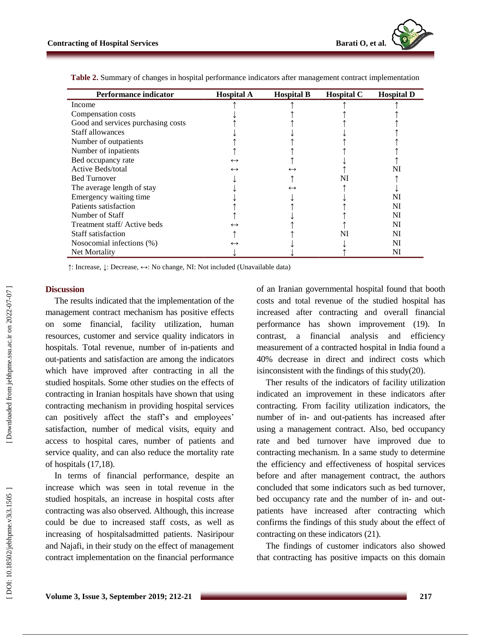| <b>Performance indicator</b>       | <b>Hospital A</b> | <b>Hospital B</b> | <b>Hospital C</b> | <b>Hospital D</b> |
|------------------------------------|-------------------|-------------------|-------------------|-------------------|
| Income                             |                   |                   |                   |                   |
| Compensation costs                 |                   |                   |                   |                   |
| Good and services purchasing costs |                   |                   |                   |                   |
| Staff allowances                   |                   |                   |                   |                   |
| Number of outpatients              |                   |                   |                   |                   |
| Number of inpatients               |                   |                   |                   |                   |
| Bed occupancy rate                 | $\leftrightarrow$ |                   |                   |                   |
| Active Beds/total                  | $\leftrightarrow$ | $\leftrightarrow$ |                   | NI                |
| <b>Bed Turnover</b>                |                   |                   | NI                |                   |
| The average length of stay         |                   | $\leftrightarrow$ |                   |                   |
| Emergency waiting time             |                   |                   |                   | NI                |
| Patients satisfaction              |                   |                   |                   | NI                |
| Number of Staff                    |                   |                   |                   | NI                |
| Treatment staff/Active beds        | $\leftrightarrow$ |                   |                   | NI                |
| Staff satisfaction                 |                   |                   | NI                | NI                |
| Nosocomial infections (%)          | $\leftrightarrow$ |                   |                   | NI                |
| Net Mortality                      |                   |                   |                   | NI                |

**Table 2.** Summary of changes in hospital performance indicators after management contract implementation

↑: Increase, ↓: Decrease, ↔: No change, NI: Not included (Unavailable data )

#### **Discussion**

The results indicated that the implementation of the management contract mechanism has positive effects on some financial, facility utilization, human resources, customer and service quality indicators in hospitals. Total revenue, number of in -patients and out -patients and satisfaction are among the indicators which have improved after contracting in all the studied hospitals. Some other studies on the effects of contracting in Iranian hospitals have shown that using contracting mechanism in providing hospital services can positively affect the staff's and employees' satisfaction, number of medical visits, equity and access to hospital cares, number of patients and service quality, and can also reduce the mortality rate of hospitals (17,18).

In terms of financial performance, despite an increase which was seen in total revenue in the studied hospitals , an increase in hospital costs after contracting was also observed. Although, this increase could be due to increased staff costs, as well as increasing of hospitalsadmitted patients. Nasiripour and Najafi, in their study on the effect of management contract implementation on the financial performance

of an Iranian governmental hospital found that booth costs and total revenue of the studied hospital has increased after contracting and overall financial performance has shown improvement (19). In contrast, a financial analysis and efficiency measurement of a contracted hospital in India found a 40% decrease in direct and indirect costs which isinconsistent with the findings of this study(20).

Ther results of the indicators of facility utilization indicated an improvement in these indicators after contracting. From facility utilization indicators, the number of in - and out -patients has increased after using a management contract. Also, bed occupancy rate and bed turnover have improved due to contracting mechanism. In a same study to determine the efficiency and effectiveness of hospital services before and after management contract, the authors concluded that some indicators such as bed turnover, bed occupancy rate and the number of in- and outpatients have increased after contracting which confirms the findings of this study about the effect of contracting on these indicators (21).

The findings of customer indicators also showed that contracting has positive impacts on this domain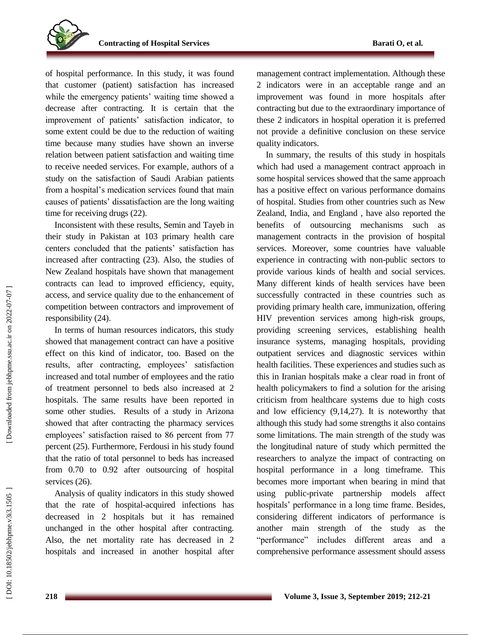of hospital performance. In this study, it was found that customer (patient) satisfaction has increased while the emergency patients' waiting time showed a decrease after contracting. It is certain that the improvement of patients' satisfaction indicator, to some extent could be due to the reduction of waiting time because many studies have shown an inverse relation between patient satisfaction and waiting time to receive needed services. For example, authors of a study on the satisfaction of Saudi Arabian patients from a hospital's medication services found that main causes of patients' dissatisfaction are the long waiting time for receiving drugs (22).

Inconsistent with these results, Semin and Tayeb in their study in Pakistan at 103 primary health care centers concluded that the patients' satisfaction has increased after contracting (23). Also, the studies of New Zealand hospitals have shown that management contract s can lead to improved efficiency, equity, access , and service quality due to the enhancement of competition between contractors and improvement of responsibility (24).

In terms of human resources indicators, this study showed that management contract can have a positive effect on this kind of indicator, too. Based on the results, after contracting, employees' satisfaction increased and total number of employees and the ratio of treatment personnel to beds also increased at 2 hospitals. The same results have been reported in some other studies. Results of a study in Arizona showed that after contracting the pharmacy services employees' satisfaction raised to 86 percent from 77 percent (25). Furthermore, Ferdousi in his study found that the ratio of total personnel to beds has increased from 0.70 to 0.92 after outsourcing of hospital services  $(26)$ .

Analysis of quality indicators in this study showed that the rate of hospital -acquired infections has decreased in 2 hospitals but it has remained unchanged in the other hospital after contracting. Also, the net mortality rate has decreased in 2 hospitals and increased in another hospital after

management contract implementation. Although these 2 indicators were in an acceptable range and an improvement was found in more hospitals after contracting but due to the extraordinary importance of these 2 indicators in hospital operation it is prefe rred not provide a definitive conclusion on these service quality indicators.

In summary, the results of this study in hospitals which had used a management contract approach in some hospital services showed that the same approach has a positive effect on various performance domains of hospital. Studies from other countries such as New Zealand, India , and England , have also reported the benefits of outsourcing mechanisms such as management contract s in the provision of hospital services. Moreover, some countries have valuable experience in contracting with non -public sectors to provide various kinds of health and social services. Many different kind s of health services have been successfully contracted in these countries such as providing primary health care, immunization, offering HIV prevention services among high -risk groups, providing screening services, establishing health insurance systems, managing hospitals, providing outpatient services and diagnostic services within health facilities. These experiences and studies such as this in Iranian hospitals make a clear road in front of health policymakers to find a solution for the arising criticism from healthcare systems due to high costs and low efficiency (9,14,27). It is noteworthy that although this study had some strengths it also contains some limitations. The main strength of the study was the longitudinal nature of study which permitted the researchers to analyze the impact of contracting on hospital performance in a long timeframe. This becomes more important when bearing in mind that using public -private partnership models affect hospitals' performance in a long time frame. Besides, considering different indicators of performance is another main strength of the study as the "performance" includes different areas and a comprehensive performance assessment should assess

DOI: 10.18502/jebhpme.v3i3.1505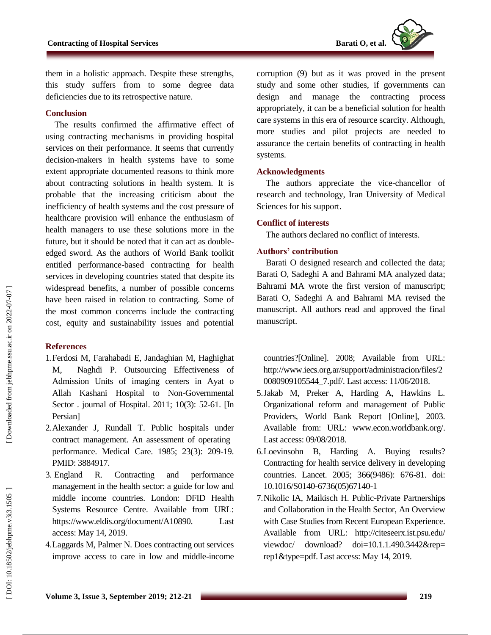

them in a holistic approach. Despite these strengths, this study suffers from to some degree data deficiencies due to its retrospective nature.

### **Conclusion**

The results confirmed the affirmative effect of using contracting mechanisms in providing hospital services on their performance. It seems that currently decision -makers in health systems have to some extent appropriate documented reasons to think more about contracting solutions in health system. It is probable that the increasing criticism about the inefficiency of health systems and the cost pressure of healthcare provision will enhance the enthusiasm of health managers to use these solutions more in the future, but it should be noted that it can act as double edged sword. As the authors of World Bank toolkit entitled performance -based contracting for health services in developing countries stated that despite its widespread benefits, a number of possible concerns have been raised in relation to contracting. Some of the most common concerns include the contracting cost, equity and sustainability issues and potential

#### **References**

- 1.Ferdosi M, Farahabadi E, Jandaghian M, Haghighat M, Naghdi P. Outsourcing Effectiveness of Admission Units of imaging centers in Ayat o Allah Kashani Hospital to Non -Governmental Sector . journal of Hospital. 2011; 10(3): 52 -61. [In Persian]
- 2 .Alexander J, Rundall T. Public hospitals under contract management. An assessment of operating performance. Medical Care . 1985; 23(3): 209 -19. PMID: 3884917.
- 3. England R. Contracting and performance management in the health sector: a guide for low and middle income countries. London: DFID Health Systems Resource Centre. Available from URL: https://www.eldis.org/document/A10890. Last access: May 14, 2019.
- 4 .Laggards M, Palmer N. Does contracting out services improve access to care in low and middle -income

corruption (9) but as it was proved in the present study and some other studies , if governments can design and manage the contracting process appropriately, it can be a beneficial solution for health care systems in this era of resource scarcity. Although, more studies and pilot projects are needed to assurance the certain benefits of contracting in health systems.

### **Acknowledgment s**

The authors appreciate the vice -chancellor of research and technology, Iran University of Medical Sciences for his support.

### **Conflict of interest s**

The authors declare d no conflict of interests.

### **Authors' contribution**

Barati O designed research and collected the data; Barati O, Sadeghi A and Bahrami MA analyzed data; Bahrami MA wrote the first version of manuscript; Barati O, Sadeghi A and Bahrami MA revised the manuscript. All authors read and approved the final manuscript.

countries?[Online]. 2008; Available from URL: [http://www.iecs.org.ar/support/administracion/files/2](http://www.iecs.org.ar/support/administracion/files/20080909105544_7.pdf/) [0080909105544\\_7.pdf/.](http://www.iecs.org.ar/support/administracion/files/20080909105544_7.pdf/) Last access: 11/06/2018.

- 5 .Jakab M, Preker A, Harding A, Hawkins L. Organizational reform and management of Public Providers, World Bank Report [Online], 2003. Available from: URL: [www.econ.worldbank.org/.](http://www.econ.worldbank.org/) Last access: 09/08/2018.
- 6 .Loevinsohn B, Harding A. Buying results? Contracting for health service delivery in developing countries. Lancet. 2005; 366(9486): 676 -81. doi: 10.1016/S0140 -6736(05)67140 - 1
- 7 .Nikolic IA, Maikisch H. Public -Private Partnerships and Collaboration in the Health Sector, An Overview with Case Studies from Recent European Experience. Available from URL: http://citeseerx.ist.psu.edu/ viewdoc/ download? doi=10.1.1.490.3442&rep= rep1&type=pdf. Last access: May 14, 2019.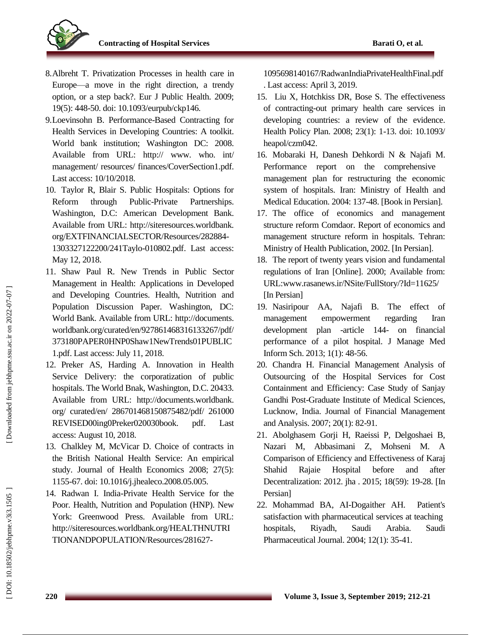

- 8 .Albreht T. Privatization Processes in health care in Europe—a move in the right direction, a trendy option, or a step back?. Eur J Public Health. 2009; 19(5): 448 -50. doi: 10.1093/eurpub/ckp146.
- 9 .Loevinsohn B. Performance -Based Contracting for Health Services in Developing Countries: A toolkit. World bank institution; Washington DC: 2008. Available from URL: http:// www. who. int/ management/ resources/ finances/CoverSection1.pdf. Last access: 10/10/2018.
- 10 . Taylor R, Blair S. Public Hospitals: Options for Reform through Public-Private Partnerships. Washington, D.C: American Development Bank. Available from URL: http://siteresources.worldbank. org/EXTFINANCIALSECTOR/Resources/282884 - 1303327122200/241Taylo -010802.pdf. Last access: May 12, 2018.
- 11 . Shaw Paul R. New Trends in Public Sector Management in Health: Applications in Developed and Developing Countries. Health, Nutrition and Population Discussion Paper. Washington, DC: World Bank. Available from URL: http://documents. worldbank.org/curated/en/927861468316133267/pdf/ 373180PAPER0HNP0Shaw1NewTrends01PUBLIC 1.pdf. Last access: July 11, 2018.
- 12 . Preker AS, Harding A. Innovation in Health Service Delivery: the corporatization of public hospitals. The World Bnak, Washington, D.C. 20433. Available from URL: http://documents.worldbank. org/ curated/en/ 286701468150875482/pdf/ 261000 REVISED00ing0Preker020030book. pdf. Last access: August 10, 2018.
- 13 . Chalkley M, McVicar D. Choice of contracts in the British National Health Service: An empirical study. Journal of Health Economics 2008; 27(5): 1155 -67. doi: 10.1016/j.jhealeco.2008.05.005.
- 14 . Radwan I. India -Private Health Service for the Poor. Health, Nutrition and Population (HNP). New York: Greenwood Press. Available from URL: http://siteresources.worldbank.org/HEALTHNUTRI TIONANDPOPULATION/Resources/281627 -

1095698140167/RadwanIndiaPrivateHealthFinal.pdf . Last access: April 3, 2019.

- 15 . Liu X, Hotchkiss DR, Bose S. The effectiveness of contracting -out primary health care services in developing countries: a review of the evidence. Health Policy Plan. 2008; 23(1): 1 -13. doi: 10.1093/ heapol/czm042 .
- 16 . Mobaraki H, Danesh Dehkordi N & Najafi M. Performance report on the comprehensive management plan for restructuring the economic system of hospitals. Iran: Ministry of Health and Medical Education. 2004: 137 -48. [Book in Persian].
- 17 . The office of economics and management structure reform Comdaor. Report of economics and management structure reform in hospitals. Tehran: Ministry of Health Publication, 2002. [In Persian] .
- 18 . The report of twenty years vision and fundamental regulations of Iran [Online]. 2000; Available from: [URL:www.rasanews.ir/NSite/FullStory/?Id=11625/](file:///F:/آرشیو%20نسخه%20های%20مجلات%20دانشکده%20بهداشت/Downloads/www.rasanews.ir/NSite/FullStory/%3fId=11625/) [In Persian]
- 19. Nasiripour AA, Najafi B. The effect of management empowerment regarding Iran development plan -article 144 144- on financial performance of a pilot hospital. J Manage Med Inform Sch . 2013; 1(1): 48 -56.
- 20 . Chandra H. Financial Management Analysis of Outsourcing of the Hospital Services for Cost Containment and Efficiency: Case Study of Sanjay Gandhi Post -Graduate Institute of Medical Sciences, Lucknow, India. Journal of Financial Management and Analysis . 2007; 20(1): 82 -91.
- 21 . Abolghasem Gorji H, Raeissi P, Delgoshaei B, Nazari M, Abbasimani Z, Mohseni M. Comparison of Efficiency and Effectiveness of Karaj Shahid Rajaie Hospital before and after Decentralization: 2012. jha . 2015; 18(59): 19 -28. [In Persian]
- 22 . Mohammad BA, AI -Dogaither AH. Patient's satisfaction with pharmaceutical services at teaching hospitals, Riyadh, Saudi Arabia. Saudi Pharmaceutical Journal . 2004; 12(1): 35 -41.